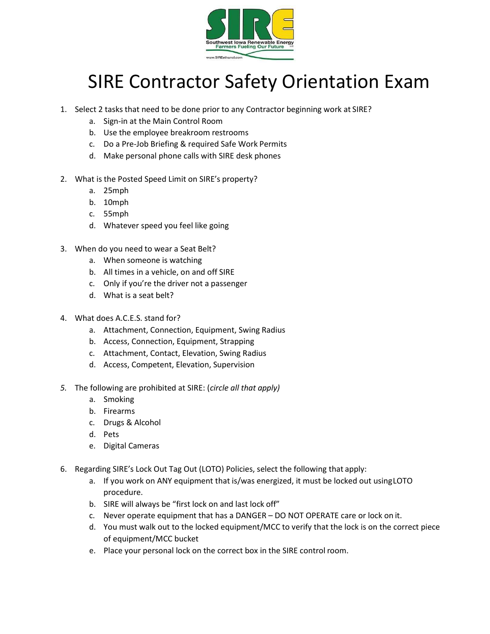

## SIRE Contractor Safety Orientation Exam

- 1. Select 2 tasks that need to be done prior to any Contractor beginning work at SIRE?
	- a. Sign‐in at the Main Control Room
	- b. Use the employee breakroom restrooms
	- c. Do a Pre‐Job Briefing & required Safe Work Permits
	- d. Make personal phone calls with SIRE desk phones
- 2. What is the Posted Speed Limit on SIRE's property?
	- a. 25mph
	- b. 10mph
	- c. 55mph
	- d. Whatever speed you feel like going
- 3. When do you need to wear a Seat Belt?
	- a. When someone is watching
	- b. All times in a vehicle, on and off SIRE
	- c. Only if you're the driver not a passenger
	- d. What is a seat belt?
- 4. What does A.C.E.S. stand for?
	- a. Attachment, Connection, Equipment, Swing Radius
	- b. Access, Connection, Equipment, Strapping
	- c. Attachment, Contact, Elevation, Swing Radius
	- d. Access, Competent, Elevation, Supervision
- 5. The following are prohibited at SIRE: (circle all that apply)
	- a. Smoking
	- b. Firearms
	- c. Drugs & Alcohol
	- d. Pets
	- e. Digital Cameras
- 6. Regarding SIRE's Lock Out Tag Out (LOTO) Policies, select the following that apply:
	- a. If you work on ANY equipment that is/was energized, it must be locked out using LOTO procedure.
	- b. SIRE will always be "first lock on and last lock off"
	- c. Never operate equipment that has a DANGER DO NOT OPERATE care or lock on it.
	- d. You must walk out to the locked equipment/MCC to verify that the lock is on the correct piece of equipment/MCC bucket
	- e. Place your personal lock on the correct box in the SIRE control room.